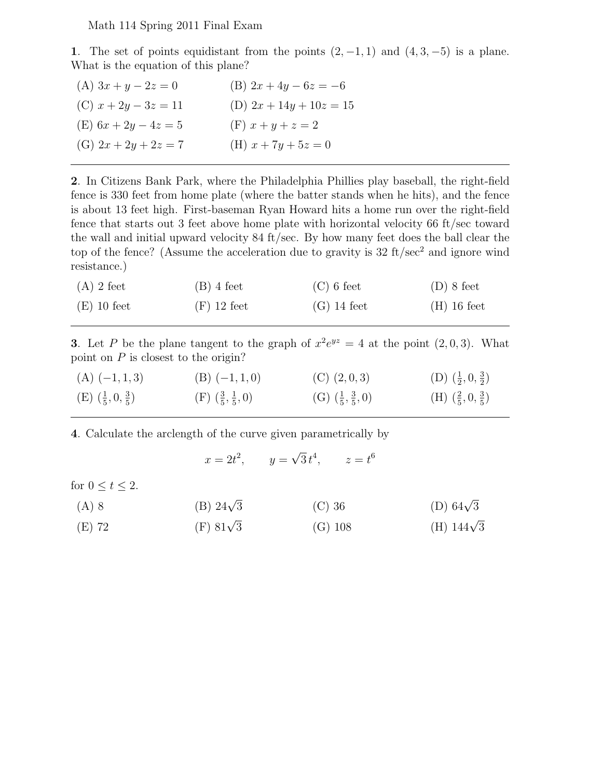Math 114 Spring 2011 Final Exam

1. The set of points equidistant from the points  $(2, -1, 1)$  and  $(4, 3, -5)$  is a plane. What is the equation of this plane?

| (A) $3x + y - 2z = 0$  | (B) $2x + 4y - 6z = -6$   |
|------------------------|---------------------------|
| (C) $x + 2y - 3z = 11$ | (D) $2x + 14y + 10z = 15$ |
| (E) $6x + 2y - 4z = 5$ | (F) $x + y + z = 2$       |
| (G) $2x + 2y + 2z = 7$ | (H) $x + 7y + 5z = 0$     |

2. In Citizens Bank Park, where the Philadelphia Phillies play baseball, the right-field fence is 330 feet from home plate (where the batter stands when he hits), and the fence is about 13 feet high. First-baseman Ryan Howard hits a home run over the right-field fence that starts out 3 feet above home plate with horizontal velocity 66 ft/sec toward the wall and initial upward velocity 84 ft/sec. By how many feet does the ball clear the top of the fence? (Assume the acceleration due to gravity is  $32 \text{ ft/sec}^2$  and ignore wind resistance.)

| $(A)$ 2 feet  | $(B)$ 4 feet  | $(C)$ 6 feet  | $(D)$ 8 feet  |
|---------------|---------------|---------------|---------------|
| $(E)$ 10 feet | $(F)$ 12 feet | $(G)$ 14 feet | $(H)$ 16 feet |

3. Let P be the plane tangent to the graph of  $x^2e^{yz} = 4$  at the point  $(2,0,3)$ . What point on  $P$  is closest to the origin?

| $(A)$ $(-1, 1, 3)$                  | $(B)$ $(-1, 1, 0)$                    | $(C)$ $(2,0,3)$                     | (D) $(\frac{1}{2}, 0, \frac{3}{2})$ |
|-------------------------------------|---------------------------------------|-------------------------------------|-------------------------------------|
| (E) $(\frac{1}{5}, 0, \frac{3}{5})$ | $(F)$ $(\frac{3}{5}, \frac{1}{5}, 0)$ | (G) $(\frac{1}{5}, \frac{3}{5}, 0)$ | (H) $(\frac{2}{5},0,\frac{3}{5})$   |

4. Calculate the arclength of the curve given parametrically by

$$
x = 2t^2
$$
,  $y = \sqrt{3}t^4$ ,  $z = t^6$ 

for  $0 \le t \le 2$ .

| $(A)$ 8 | (B) $24\sqrt{3}$ | $(C)$ 36 | (D) 64 $\sqrt{3}$ |
|---------|------------------|----------|-------------------|

(E) 72 (F)  $81\sqrt{3}$  $\frac{1}{3}$  (G) 108 (H) 144 $\sqrt{3}$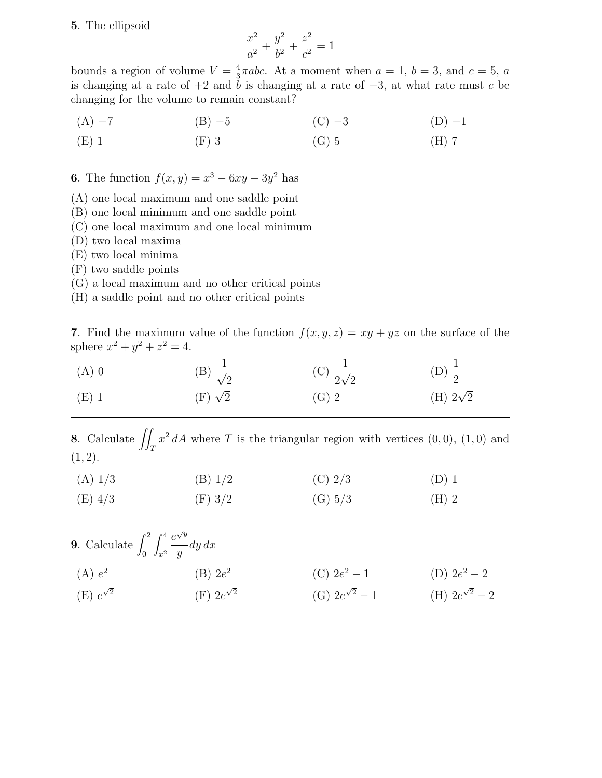## 5. The ellipsoid

$$
\frac{x^2}{a^2} + \frac{y^2}{b^2} + \frac{z^2}{c^2} = 1
$$

bounds a region of volume  $V=\frac{4}{3}$  $\frac{4}{3}\pi abc$ . At a moment when  $a = 1$ ,  $b = 3$ , and  $c = 5$ , a is changing at a rate of  $+2$  and b is changing at a rate of  $-3$ , at what rate must c be changing for the volume to remain constant?

(A) −7 (B) −5 (C) −3 (D) −1 (E) 1 (F) 3 (G) 5 (H) 7

**6.** The function  $f(x, y) = x^3 - 6xy - 3y^2$  has

- (A) one local maximum and one saddle point
- (B) one local minimum and one saddle point
- (C) one local maximum and one local minimum
- (D) two local maxima
- (E) two local minima
- (F) two saddle points
- (G) a local maximum and no other critical points
- (H) a saddle point and no other critical points

7. Find the maximum value of the function  $f(x, y, z) = xy + yz$  on the surface of the sphere  $x^2 + y^2 + z^2 = 4$ .

| $(A)$ 0 | (B) $\frac{1}{\sqrt{2}}$ | (C) $\frac{1}{2\sqrt{2}}$ | (D) $\frac{1}{2}$ |
|---------|--------------------------|---------------------------|-------------------|
| $(E)$ 1 | $(F) \sqrt{2}$           | $(G)$ 2                   | (H) $2\sqrt{2}$   |

8. Calculate  $\iint_T x^2 dA$  where T is the triangular region with vertices  $(0,0)$ ,  $(1,0)$  and  $(1, 2).$ 

| (A) 1/3   | (B) 1/2 | $(C)$ 2/3 | $(D)$ 1 |
|-----------|---------|-----------|---------|
| $(E)$ 4/3 | (F) 3/2 | (G) 5/3   | $(H)$ 2 |

| <b>9</b> . Calculate $\int_0^2 \int_{x^2}^4 \frac{e^{\sqrt{y}}}{y} dy dx$ |                       |                       |                       |
|---------------------------------------------------------------------------|-----------------------|-----------------------|-----------------------|
| (A) e <sup>2</sup>                                                        | $(B)$ $2e^2$          | (C) $2e^2-1$          | (D) $2e^2-2$          |
| $(E) e^{\sqrt{2}}$                                                        | $(F)$ $2e^{\sqrt{2}}$ | (G) $2e^{\sqrt{2}}-1$ | (H) $2e^{\sqrt{2}}-2$ |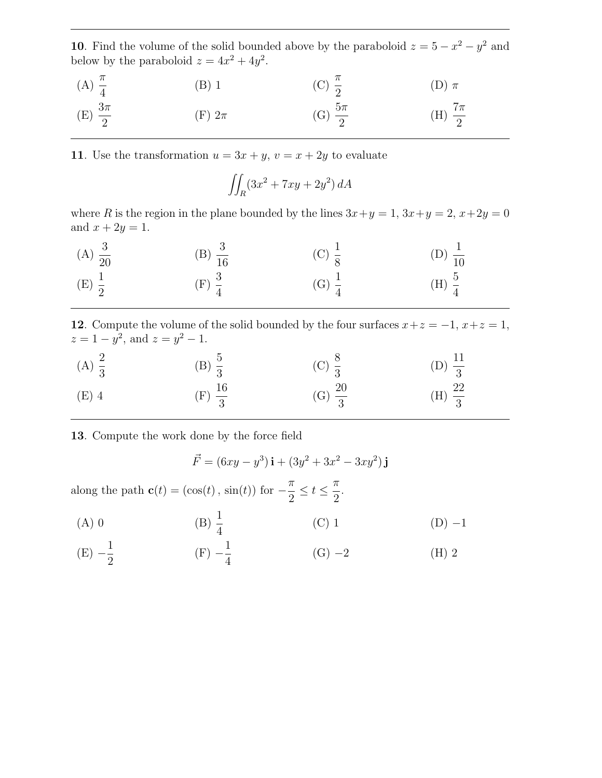10. Find the volume of the solid bounded above by the paraboloid  $z = 5 - x^2 - y^2$  and below by the paraboloid  $z = 4x^2 + 4y^2$ .

| (A) $\frac{\pi}{4}$  | (B) 1      | (C) $\frac{\pi}{2}$  | $(D)$ $\pi$          |
|----------------------|------------|----------------------|----------------------|
| (E) $\frac{3\pi}{2}$ | (F) $2\pi$ | (G) $\frac{5\pi}{2}$ | (H) $\frac{7\pi}{2}$ |

11. Use the transformation  $u = 3x + y$ ,  $v = x + 2y$  to evaluate

$$
\iint_R (3x^2 + 7xy + 2y^2) dA
$$

where R is the region in the plane bounded by the lines  $3x+y=1$ ,  $3x+y=2$ ,  $x+2y=0$ and  $x + 2y = 1$ .

(A) 
$$
\frac{3}{20}
$$
 \t\t (B)  $\frac{3}{16}$  \t\t (C)  $\frac{1}{8}$  \t\t (D)  $\frac{1}{10}$  \t\t (E)  $\frac{1}{2}$  \t\t (F)  $\frac{3}{4}$  \t\t (G)  $\frac{1}{4}$  \t\t (H)  $\frac{5}{4}$ 

12. Compute the volume of the solid bounded by the four surfaces  $x+z = -1, x+z = 1$ ,  $z = 1 - y^2$ , and  $z = y^2 - 1$ .

| (A) $\frac{2}{3}$ | (B) $\frac{5}{3}$  | (C) $\frac{8}{3}$  | (D) $\frac{11}{3}$ |
|-------------------|--------------------|--------------------|--------------------|
| $(E)$ 4           | (F) $\frac{16}{3}$ | (G) $\frac{20}{3}$ | (H) $\frac{22}{3}$ |

13. Compute the work done by the force field

$$
\vec{F} = (6xy - y^3)\mathbf{i} + (3y^2 + 3x^2 - 3xy^2)\mathbf{j}
$$

along the path  $\mathbf{c}(t) = (\cos(t), \sin(t))$  for  $-\frac{\pi}{2}$ 2  $\leq t \leq \frac{\pi}{2}$ 2 .

(A) 0 \t\t (B) 
$$
\frac{1}{4}
$$
 \t\t (C) 1 \t\t (D) -1

(E) 
$$
-\frac{1}{2}
$$
 \t\t (F)  $-\frac{1}{4}$  \t\t (G)  $-2$  \t\t (H) 2